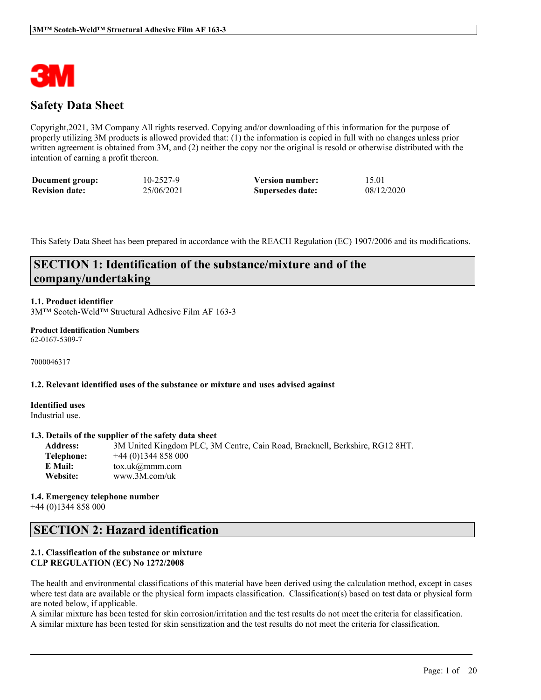

# **Safety Data Sheet**

Copyright,2021, 3M Company All rights reserved. Copying and/or downloading of this information for the purpose of properly utilizing 3M products is allowed provided that: (1) the information is copied in full with no changes unless prior written agreement is obtained from 3M, and (2) neither the copy nor the original is resold or otherwise distributed with the intention of earning a profit thereon.

| Document group:       | 10-2527-9  | <b>Version number:</b> | 15.01      |
|-----------------------|------------|------------------------|------------|
| <b>Revision date:</b> | 25/06/2021 | Supersedes date:       | 08/12/2020 |

This Safety Data Sheet has been prepared in accordance with the REACH Regulation (EC) 1907/2006 and its modifications.

# **SECTION 1: Identification of the substance/mixture and of the company/undertaking**

## **1.1. Product identifier**

3M™ Scotch-Weld™ Structural Adhesive Film AF 163-3

#### **Product Identification Numbers** 62-0167-5309-7

7000046317

#### **1.2. Relevant identified uses of the substance or mixture and uses advised against**

**Identified uses** Industrial use.

#### **1.3. Details of the supplier of the safety data sheet**

**Address:** 3M United Kingdom PLC, 3M Centre, Cain Road, Bracknell, Berkshire, RG12 8HT. **Telephone:** +44 (0)1344 858 000 **E Mail:** tox.uk@mmm.com **Website:** www.3M.com/uk

#### **1.4. Emergency telephone number** +44 (0)1344 858 000

## **SECTION 2: Hazard identification**

## **2.1. Classification of the substance or mixture CLP REGULATION (EC) No 1272/2008**

The health and environmental classifications of this material have been derived using the calculation method, except in cases where test data are available or the physical form impacts classification. Classification(s) based on test data or physical form are noted below, if applicable.

A similar mixture has been tested for skin corrosion/irritation and the test results do not meet the criteria for classification. A similar mixture has been tested for skin sensitization and the test results do not meet the criteria for classification.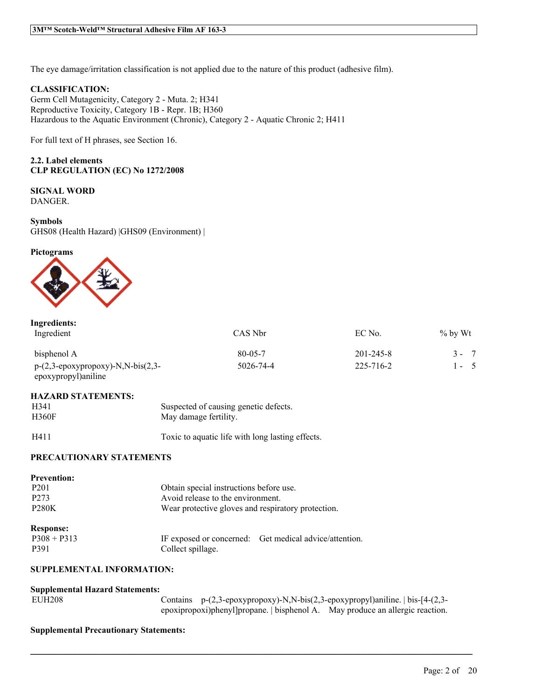The eye damage/irritation classification is not applied due to the nature of this product (adhesive film).

## **CLASSIFICATION:**

Germ Cell Mutagenicity, Category 2 - Muta. 2; H341 Reproductive Toxicity, Category 1B - Repr. 1B; H360 Hazardous to the Aquatic Environment (Chronic), Category 2 - Aquatic Chronic 2; H411

For full text of H phrases, see Section 16.

## **2.2. Label elements CLP REGULATION (EC) No 1272/2008**

# **SIGNAL WORD**

DANGER.

#### **Symbols**

GHS08 (Health Hazard) |GHS09 (Environment) |

#### **Pictograms**



| Ingredients:                                                                                      |               |                 |            |
|---------------------------------------------------------------------------------------------------|---------------|-----------------|------------|
| Ingredient                                                                                        | CAS Nbr       | EC No.          | $\%$ by Wt |
| bisphenol A                                                                                       | $80 - 05 - 7$ | $201 - 245 - 8$ | $3 - 7$    |
| $p-(2,3-\epsilon p\alpha xyprop\alpha xy)-N,N-bis(2,3-\epsilon p\alpha y)$<br>epoxypropyl)aniline | 5026-74-4     | 225-716-2       | $1 - 5$    |

#### **HAZARD STATEMENTS:**

| H341         | Suspected of causing genetic defects. |
|--------------|---------------------------------------|
| <b>H360F</b> | May damage fertility.                 |

H411 Toxic to aquatic life with long lasting effects.

 $\mathcal{L}_\mathcal{L} = \mathcal{L}_\mathcal{L} = \mathcal{L}_\mathcal{L} = \mathcal{L}_\mathcal{L} = \mathcal{L}_\mathcal{L} = \mathcal{L}_\mathcal{L} = \mathcal{L}_\mathcal{L} = \mathcal{L}_\mathcal{L} = \mathcal{L}_\mathcal{L} = \mathcal{L}_\mathcal{L} = \mathcal{L}_\mathcal{L} = \mathcal{L}_\mathcal{L} = \mathcal{L}_\mathcal{L} = \mathcal{L}_\mathcal{L} = \mathcal{L}_\mathcal{L} = \mathcal{L}_\mathcal{L} = \mathcal{L}_\mathcal{L}$ 

## **PRECAUTIONARY STATEMENTS**

| <b>Prevention:</b>    |                                                    |                                                        |
|-----------------------|----------------------------------------------------|--------------------------------------------------------|
| P <sub>201</sub>      | Obtain special instructions before use.            |                                                        |
| P <sub>273</sub>      | Avoid release to the environment.                  |                                                        |
| <b>P280K</b>          | Wear protective gloves and respiratory protection. |                                                        |
| <b>Response:</b>      |                                                    |                                                        |
| $P308 + P313$<br>P391 | Collect spillage.                                  | IF exposed or concerned: Get medical advice/attention. |

### **SUPPLEMENTAL INFORMATION:**

#### **Supplemental Hazard Statements:**

| <b>EUH208</b> |
|---------------|
|---------------|

Contains p-(2,3-epoxypropoxy)-N,N-bis(2,3-epoxypropyl)aniline. | bis-[4-(2,3epoxipropoxi)phenyl]propane. | bisphenol A. May produce an allergic reaction.

#### **Supplemental Precautionary Statements:**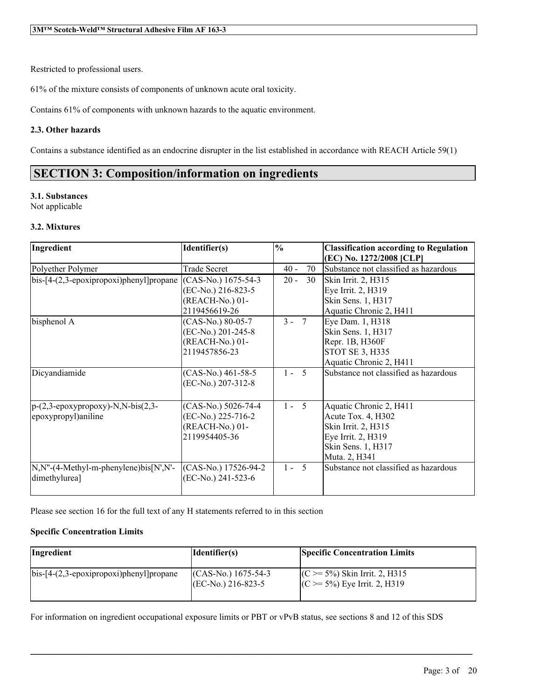Restricted to professional users.

61% of the mixture consists of components of unknown acute oral toxicity.

Contains 61% of components with unknown hazards to the aquatic environment.

## **2.3. Other hazards**

Contains a substance identified as an endocrine disrupter in the list established in accordance with REACH Article 59(1)

# **SECTION 3: Composition/information on ingredients**

## **3.1. Substances**

Not applicable

## **3.2. Mixtures**

| Ingredient                                               | Identifier(s)        | $\frac{0}{0}$ | <b>Classification according to Regulation</b> |
|----------------------------------------------------------|----------------------|---------------|-----------------------------------------------|
|                                                          |                      |               | (EC) No. 1272/2008 [CLP]                      |
| Polyether Polymer                                        | <b>Trade Secret</b>  | 70<br>$40 -$  | Substance not classified as hazardous         |
| $bis-[4-(2,3-epoxi)propan]$ ]propane                     | $(CAS-N0)$ 1675-54-3 | $20 -$<br>30  | Skin Irrit. 2, H315                           |
|                                                          | (EC-No.) 216-823-5   |               | Eye Irrit. 2, H319                            |
|                                                          | (REACH-No.) 01-      |               | Skin Sens. 1, H317                            |
|                                                          | 2119456619-26        |               | Aquatic Chronic 2, H411                       |
| bisphenol A                                              | (CAS-No.) 80-05-7    | $3 - 7$       | Eye Dam. 1, H318                              |
|                                                          | (EC-No.) 201-245-8   |               | Skin Sens. 1, H317                            |
|                                                          | (REACH-No.) 01-      |               | Repr. 1B, H360F                               |
|                                                          | 2119457856-23        |               | STOT SE 3, H335                               |
|                                                          |                      |               | Aquatic Chronic 2, H411                       |
| Dicyandiamide                                            | (CAS-No.) 461-58-5   | $1 - 5$       | Substance not classified as hazardous         |
|                                                          | (EC-No.) 207-312-8   |               |                                               |
|                                                          |                      |               |                                               |
| $p-(2,3-\epsilon p\alpha xyprop\alpha xy)$ -N,N-bis(2,3- | (CAS-No.) 5026-74-4  | $1 - 5$       | Aquatic Chronic 2, H411                       |
| epoxypropyl)aniline                                      | (EC-No.) 225-716-2   |               | Acute Tox. 4, H302                            |
|                                                          | (REACH-No.) 01-      |               | Skin Irrit. 2, H315                           |
|                                                          | 2119954405-36        |               | Eye Irrit. 2, H319                            |
|                                                          |                      |               | Skin Sens. 1, H317                            |
|                                                          |                      |               | Muta. 2, H341                                 |
| N,N"-(4-Methyl-m-phenylene)bis[N',N'-                    | (CAS-No.) 17526-94-2 | $1 - 5$       | Substance not classified as hazardous         |
| dimethylurea]                                            | (EC-No.) 241-523-6   |               |                                               |
|                                                          |                      |               |                                               |

Please see section 16 for the full text of any H statements referred to in this section

## **Specific Concentration Limits**

| Ingredient                                      | Identifier(s)                                 | <b>Specific Concentration Limits</b>                                  |
|-------------------------------------------------|-----------------------------------------------|-----------------------------------------------------------------------|
| $\vert$ bis-[4-(2,3-epoxipropoxi)phenyl]propane | $(CAS-N0)$ 1675-54-3<br>$[EC-N0$ .) 216-823-5 | $(C \ge 5\%)$ Skin Irrit. 2, H315<br>$(C \ge 5\%)$ Eye Irrit. 2, H319 |

 $\mathcal{L}_\mathcal{L} = \mathcal{L}_\mathcal{L} = \mathcal{L}_\mathcal{L} = \mathcal{L}_\mathcal{L} = \mathcal{L}_\mathcal{L} = \mathcal{L}_\mathcal{L} = \mathcal{L}_\mathcal{L} = \mathcal{L}_\mathcal{L} = \mathcal{L}_\mathcal{L} = \mathcal{L}_\mathcal{L} = \mathcal{L}_\mathcal{L} = \mathcal{L}_\mathcal{L} = \mathcal{L}_\mathcal{L} = \mathcal{L}_\mathcal{L} = \mathcal{L}_\mathcal{L} = \mathcal{L}_\mathcal{L} = \mathcal{L}_\mathcal{L}$ 

For information on ingredient occupational exposure limits or PBT or vPvB status, see sections 8 and 12 of this SDS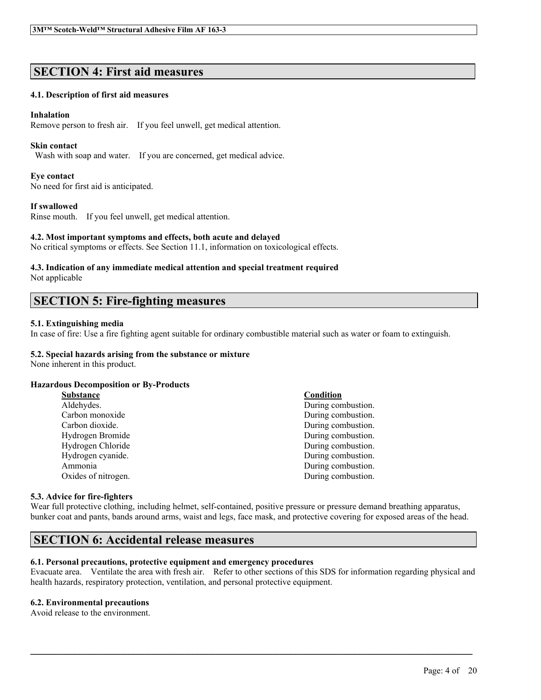# **SECTION 4: First aid measures**

## **4.1. Description of first aid measures**

#### **Inhalation**

Remove person to fresh air. If you feel unwell, get medical attention.

#### **Skin contact**

Wash with soap and water. If you are concerned, get medical advice.

#### **Eye contact**

No need for first aid is anticipated.

#### **If swallowed**

Rinse mouth. If you feel unwell, get medical attention.

#### **4.2. Most important symptoms and effects, both acute and delayed**

No critical symptoms or effects. See Section 11.1, information on toxicological effects.

#### **4.3. Indication of any immediate medical attention and special treatment required** Not applicable

# **SECTION 5: Fire-fighting measures**

#### **5.1. Extinguishing media**

In case of fire: Use a fire fighting agent suitable for ordinary combustible material such as water or foam to extinguish.

## **5.2. Special hazards arising from the substance or mixture**

None inherent in this product.

#### **Hazardous Decomposition or By-Products**

| <b>Substance</b>    | Condition          |
|---------------------|--------------------|
| Aldehydes.          | During combustion. |
| Carbon monoxide     | During combustion. |
| Carbon dioxide.     | During combustion. |
| Hydrogen Bromide    | During combustion. |
| Hydrogen Chloride   | During combustion. |
| Hydrogen cyanide.   | During combustion. |
| Ammonia             | During combustion. |
| Oxides of nitrogen. | During combustion. |
|                     |                    |

#### **5.3. Advice for fire-fighters**

Wear full protective clothing, including helmet, self-contained, positive pressure or pressure demand breathing apparatus, bunker coat and pants, bands around arms, waist and legs, face mask, and protective covering for exposed areas of the head.

## **SECTION 6: Accidental release measures**

## **6.1. Personal precautions, protective equipment and emergency procedures**

Evacuate area. Ventilate the area with fresh air. Refer to other sections of this SDS for information regarding physical and health hazards, respiratory protection, ventilation, and personal protective equipment.

 $\mathcal{L}_\mathcal{L} = \mathcal{L}_\mathcal{L} = \mathcal{L}_\mathcal{L} = \mathcal{L}_\mathcal{L} = \mathcal{L}_\mathcal{L} = \mathcal{L}_\mathcal{L} = \mathcal{L}_\mathcal{L} = \mathcal{L}_\mathcal{L} = \mathcal{L}_\mathcal{L} = \mathcal{L}_\mathcal{L} = \mathcal{L}_\mathcal{L} = \mathcal{L}_\mathcal{L} = \mathcal{L}_\mathcal{L} = \mathcal{L}_\mathcal{L} = \mathcal{L}_\mathcal{L} = \mathcal{L}_\mathcal{L} = \mathcal{L}_\mathcal{L}$ 

## **6.2. Environmental precautions**

Avoid release to the environment.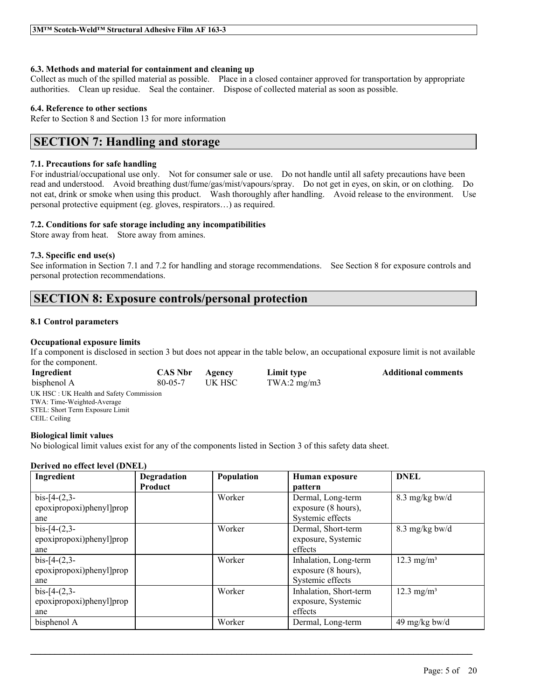### **6.3. Methods and material for containment and cleaning up**

Collect as much of the spilled material as possible. Place in a closed container approved for transportation by appropriate authorities. Clean up residue. Seal the container. Dispose of collected material as soon as possible.

## **6.4. Reference to other sections**

Refer to Section 8 and Section 13 for more information

# **SECTION 7: Handling and storage**

## **7.1. Precautions for safe handling**

For industrial/occupational use only. Not for consumer sale or use. Do not handle until all safety precautions have been read and understood. Avoid breathing dust/fume/gas/mist/vapours/spray. Do not get in eyes, on skin, or on clothing. Do not eat, drink or smoke when using this product. Wash thoroughly after handling. Avoid release to the environment. Use personal protective equipment (eg. gloves, respirators…) as required.

## **7.2. Conditions for safe storage including any incompatibilities**

Store away from heat. Store away from amines.

## **7.3. Specific end use(s)**

See information in Section 7.1 and 7.2 for handling and storage recommendations. See Section 8 for exposure controls and personal protection recommendations.

# **SECTION 8: Exposure controls/personal protection**

#### **8.1 Control parameters**

## **Occupational exposure limits**

If a component is disclosed in section 3 but does not appear in the table below, an occupational exposure limit is not available for the component.

| Ingredient                              | <b>CAS Nbr</b> | Agency  | Limit type    | <b>Additional comments</b> |
|-----------------------------------------|----------------|---------|---------------|----------------------------|
| bisphenol A                             | $80 - 05 - 7$  | UK HSC- | TWA:2 $mg/m3$ |                            |
| UK HSC: UK Health and Safety Commission |                |         |               |                            |
| TWA: Time-Weighted-Average              |                |         |               |                            |
| STEL: Short Term Exposure Limit         |                |         |               |                            |
| CEIL: Ceiling                           |                |         |               |                            |

#### **Biological limit values**

No biological limit values exist for any of the components listed in Section 3 of this safety data sheet.

#### **Derived no effect level (DNEL)**

| Ingredient               | Degradation    | Population | Human exposure         | <b>DNEL</b>              |
|--------------------------|----------------|------------|------------------------|--------------------------|
|                          | <b>Product</b> |            | pattern                |                          |
| $bis-[4-(2,3-$           |                | Worker     | Dermal, Long-term      | $8.3 \text{ mg/kg}$ bw/d |
| epoxipropoxi)phenyl]prop |                |            | exposure (8 hours),    |                          |
| ane                      |                |            | Systemic effects       |                          |
| $bis-[4-(2,3-$           |                | Worker     | Dermal, Short-term     | $8.3 \text{ mg/kg}$ bw/d |
| epoxipropoxi)phenyl]prop |                |            | exposure, Systemic     |                          |
| ane                      |                |            | effects                |                          |
| $bis-[4-(2,3-$           |                | Worker     | Inhalation, Long-term  | $12.3 \text{ mg/m}^3$    |
| epoxipropoxi)phenyl]prop |                |            | exposure (8 hours),    |                          |
| ane                      |                |            | Systemic effects       |                          |
| $bis-[4-(2,3-$           |                | Worker     | Inhalation, Short-term | $12.3 \text{ mg/m}^3$    |
| epoxipropoxi)phenyl]prop |                |            | exposure, Systemic     |                          |
| ane                      |                |            | effects                |                          |
| bisphenol A              |                | Worker     | Dermal, Long-term      | 49 mg/kg bw/d            |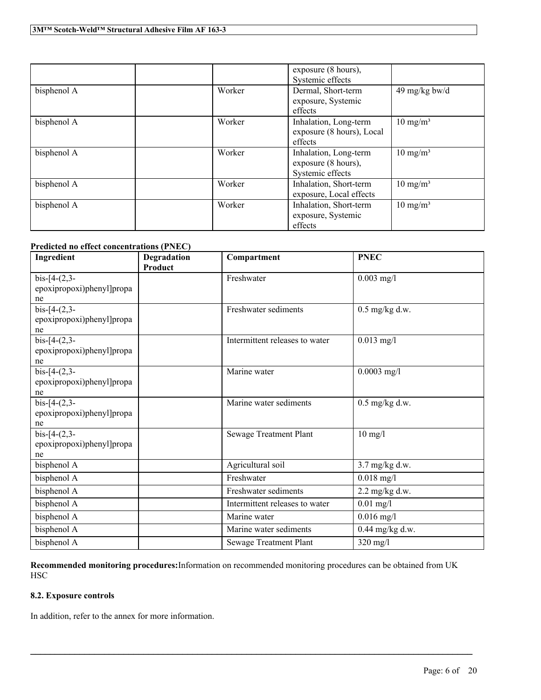|             |        | exposure (8 hours),       |                     |
|-------------|--------|---------------------------|---------------------|
|             |        | Systemic effects          |                     |
| bisphenol A | Worker | Dermal, Short-term        | 49 mg/kg bw/d       |
|             |        | exposure, Systemic        |                     |
|             |        | effects                   |                     |
| bisphenol A | Worker | Inhalation, Long-term     | $10 \text{ mg/m}^3$ |
|             |        | exposure (8 hours), Local |                     |
|             |        | effects                   |                     |
| bisphenol A | Worker | Inhalation, Long-term     | $10 \text{ mg/m}^3$ |
|             |        | exposure (8 hours),       |                     |
|             |        | Systemic effects          |                     |
| bisphenol A | Worker | Inhalation, Short-term    | $10 \text{ mg/m}^3$ |
|             |        | exposure, Local effects   |                     |
| bisphenol A | Worker | Inhalation, Short-term    | $10 \text{ mg/m}^3$ |
|             |        | exposure, Systemic        |                     |
|             |        | effects                   |                     |

## **Predicted no effect concentrations (PNEC)**

| Ingredient                                        | Degradation<br>Product | Compartment                    | <b>PNEC</b>      |
|---------------------------------------------------|------------------------|--------------------------------|------------------|
| $bis-[4-(2,3-$<br>epoxipropoxi)phenyl]propa<br>ne |                        | Freshwater                     | $0.003$ mg/l     |
| $bis-[4-(2,3-$<br>epoxipropoxi)phenyl]propa<br>ne |                        | Freshwater sediments           | $0.5$ mg/kg d.w. |
| $bis-[4-(2,3-$<br>epoxipropoxi)phenyl]propa<br>ne |                        | Intermittent releases to water | $0.013$ mg/l     |
| $bis-[4-(2,3-$<br>epoxipropoxi)phenyl]propa<br>ne |                        | Marine water                   | $0.0003$ mg/l    |
| $bis-[4-(2,3-$<br>epoxipropoxi)phenyl]propa<br>ne |                        | Marine water sediments         | $0.5$ mg/kg d.w. |
| $bis-[4-(2,3-$<br>epoxipropoxi)phenyl]propa<br>ne |                        | Sewage Treatment Plant         | $10$ mg/l        |
| bisphenol A                                       |                        | Agricultural soil              | 3.7 mg/kg d.w.   |
| bisphenol A                                       |                        | Freshwater                     | $0.018$ mg/l     |
| bisphenol A                                       |                        | Freshwater sediments           | $2.2$ mg/kg d.w. |
| bisphenol A                                       |                        | Intermittent releases to water | $0.01$ mg/l      |
| bisphenol A                                       |                        | Marine water                   | $0.016$ mg/l     |
| bisphenol A                                       |                        | Marine water sediments         | 0.44 mg/kg d.w.  |
| bisphenol A                                       |                        | Sewage Treatment Plant         | $320$ mg/l       |

**Recommended monitoring procedures:**Information on recommended monitoring procedures can be obtained from UK **HSC** 

 $\mathcal{L}_\mathcal{L} = \mathcal{L}_\mathcal{L} = \mathcal{L}_\mathcal{L} = \mathcal{L}_\mathcal{L} = \mathcal{L}_\mathcal{L} = \mathcal{L}_\mathcal{L} = \mathcal{L}_\mathcal{L} = \mathcal{L}_\mathcal{L} = \mathcal{L}_\mathcal{L} = \mathcal{L}_\mathcal{L} = \mathcal{L}_\mathcal{L} = \mathcal{L}_\mathcal{L} = \mathcal{L}_\mathcal{L} = \mathcal{L}_\mathcal{L} = \mathcal{L}_\mathcal{L} = \mathcal{L}_\mathcal{L} = \mathcal{L}_\mathcal{L}$ 

## **8.2. Exposure controls**

In addition, refer to the annex for more information.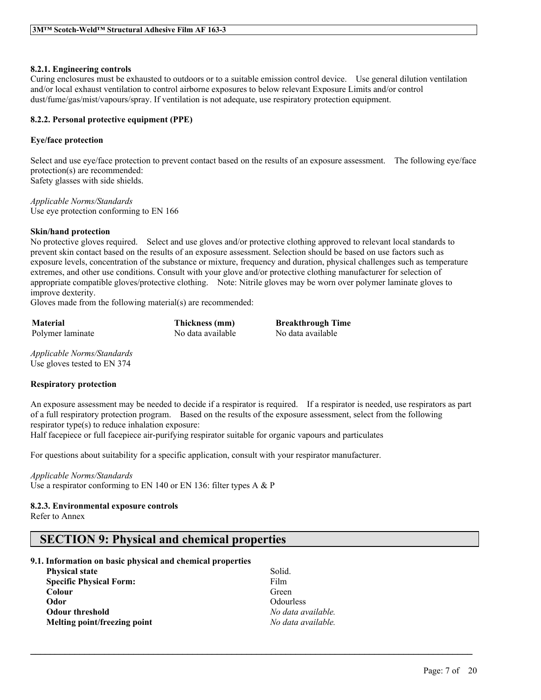### **8.2.1. Engineering controls**

Curing enclosures must be exhausted to outdoors or to a suitable emission control device. Use general dilution ventilation and/or local exhaust ventilation to control airborne exposures to below relevant Exposure Limits and/or control dust/fume/gas/mist/vapours/spray. If ventilation is not adequate, use respiratory protection equipment.

## **8.2.2. Personal protective equipment (PPE)**

## **Eye/face protection**

Select and use eye/face protection to prevent contact based on the results of an exposure assessment. The following eye/face protection(s) are recommended: Safety glasses with side shields.

*Applicable Norms/Standards* Use eye protection conforming to EN 166

## **Skin/hand protection**

No protective gloves required. Select and use gloves and/or protective clothing approved to relevant local standards to prevent skin contact based on the results of an exposure assessment. Selection should be based on use factors such as exposure levels, concentration of the substance or mixture, frequency and duration, physical challenges such as temperature extremes, and other use conditions. Consult with your glove and/or protective clothing manufacturer for selection of appropriate compatible gloves/protective clothing. Note: Nitrile gloves may be worn over polymer laminate gloves to improve dexterity.

Gloves made from the following material(s) are recommended:

**Material Thickness (mm) Breakthrough Time** Polymer laminate No data available No data available

*Applicable Norms/Standards* Use gloves tested to EN 374

## **Respiratory protection**

An exposure assessment may be needed to decide if a respirator is required. If a respirator is needed, use respirators as part of a full respiratory protection program. Based on the results of the exposure assessment, select from the following respirator type(s) to reduce inhalation exposure:

 $\mathcal{L}_\mathcal{L} = \mathcal{L}_\mathcal{L} = \mathcal{L}_\mathcal{L} = \mathcal{L}_\mathcal{L} = \mathcal{L}_\mathcal{L} = \mathcal{L}_\mathcal{L} = \mathcal{L}_\mathcal{L} = \mathcal{L}_\mathcal{L} = \mathcal{L}_\mathcal{L} = \mathcal{L}_\mathcal{L} = \mathcal{L}_\mathcal{L} = \mathcal{L}_\mathcal{L} = \mathcal{L}_\mathcal{L} = \mathcal{L}_\mathcal{L} = \mathcal{L}_\mathcal{L} = \mathcal{L}_\mathcal{L} = \mathcal{L}_\mathcal{L}$ 

Half facepiece or full facepiece air-purifying respirator suitable for organic vapours and particulates

For questions about suitability for a specific application, consult with your respirator manufacturer.

#### *Applicable Norms/Standards*

Use a respirator conforming to EN 140 or EN 136: filter types A & P

#### **8.2.3. Environmental exposure controls**

Refer to Annex

# **SECTION 9: Physical and chemical properties**

#### **9.1. Information on basic physical and chemical properties**

| <b>Physical state</b>          | Solid.             |
|--------------------------------|--------------------|
| <b>Specific Physical Form:</b> | Film               |
| Colour                         | Green              |
| Odor                           | <b>Odourless</b>   |
| <b>Odour threshold</b>         | No data available. |
| Melting point/freezing point   | No data available. |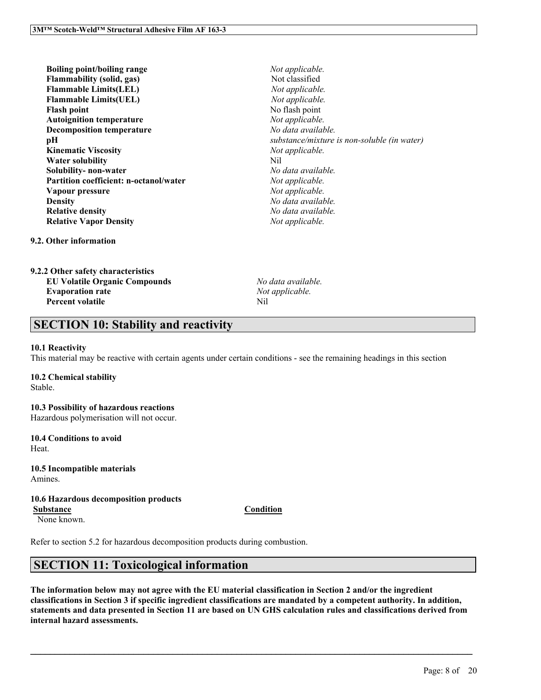| <b>Boiling point/boiling range</b>            | No    |
|-----------------------------------------------|-------|
| <b>Flammability</b> (solid, gas)              | No    |
| <b>Flammable Limits(LEL)</b>                  | No    |
| <b>Flammable Limits(UEL)</b>                  | No    |
| <b>Flash point</b>                            | No    |
| <b>Autoignition temperature</b>               | $N$ o |
| <b>Decomposition temperature</b>              | No    |
| pН                                            | sub   |
| <b>Kinematic Viscosity</b>                    | $N$ o |
| Water solubility                              | Nil   |
| Solubility- non-water                         | No    |
| <b>Partition coefficient: n-octanol/water</b> | $N$ o |
| Vapour pressure                               | No    |
| <b>Density</b>                                | No    |
| <b>Relative density</b>                       | No    |
| <b>Relative Vapor Density</b>                 | No    |

 $Not$  *applicable*. **Flammability (solid, gas)** Not classified  $Not$  *applicable*.  $Not$  *applicable*. **Flash point** No flash point  $Not$  *applicable*. **Decomposition temperature** *No data available.*  $substance/mixture$  *is non-soluble* (*in* water)  $Not$  *applicable.* **Solubility- non-water** *No data available.*  $Not$  *applicable.*  $Not$  *applicable.* **Density** *No data available.* **Relative density** *No data available.*  $Not$  *applicable.* 

**9.2. Other information**

| 9.2.2 Other safety characteristics   |     |
|--------------------------------------|-----|
| <b>EU Volatile Organic Compounds</b> | Nο  |
| <b>Evaporation rate</b>              | No. |
| <b>Percent volatile</b>              | Nil |

**EU Volatile Organic Compounds** *No data available.* **Evaporation rate** *Not applicable.*

# **SECTION 10: Stability and reactivity**

### **10.1 Reactivity**

This material may be reactive with certain agents under certain conditions - see the remaining headings in this section

## **10.2 Chemical stability**

Stable.

## **10.3 Possibility of hazardous reactions** Hazardous polymerisation will not occur.

**10.4 Conditions to avoid**

Heat.

**10.5 Incompatible materials** Amines.

## **10.6 Hazardous decomposition products Substance Condition**

None known.

Refer to section 5.2 for hazardous decomposition products during combustion.

# **SECTION 11: Toxicological information**

The information below may not agree with the EU material classification in Section 2 and/or the ingredient classifications in Section 3 if specific ingredient classifications are mandated by a competent authority. In addition, statements and data presented in Section 11 are based on UN GHS calculation rules and classifications derived from **internal hazard assessments.**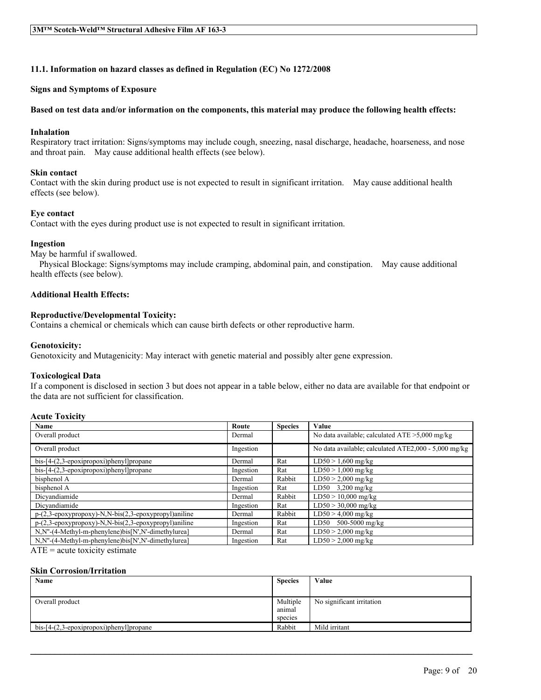## **11.1. Information on hazard classes as defined in Regulation (EC) No 1272/2008**

#### **Signs and Symptoms of Exposure**

#### Based on test data and/or information on the components, this material may produce the following health effects:

#### **Inhalation**

Respiratory tract irritation: Signs/symptoms may include cough, sneezing, nasal discharge, headache, hoarseness, and nose and throat pain. May cause additional health effects (see below).

#### **Skin contact**

Contact with the skin during product use is not expected to result in significant irritation. May cause additional health effects (see below).

#### **Eye contact**

Contact with the eyes during product use is not expected to result in significant irritation.

#### **Ingestion**

May be harmful if swallowed.

Physical Blockage: Signs/symptoms may include cramping, abdominal pain, and constipation. May cause additional health effects (see below).

## **Additional Health Effects:**

#### **Reproductive/Developmental Toxicity:**

Contains a chemical or chemicals which can cause birth defects or other reproductive harm.

#### **Genotoxicity:**

Genotoxicity and Mutagenicity: May interact with genetic material and possibly alter gene expression.

#### **Toxicological Data**

If a component is disclosed in section 3 but does not appear in a table below, either no data are available for that endpoint or the data are not sufficient for classification.

### **Acute Toxicity**

| Name                                                 | Route     | <b>Species</b> | Value                                                |
|------------------------------------------------------|-----------|----------------|------------------------------------------------------|
| Overall product                                      | Dermal    |                | No data available; calculated $ATE > 5,000$ mg/kg    |
| Overall product                                      | Ingestion |                | No data available; calculated ATE2,000 - 5,000 mg/kg |
| bis-[4-(2,3-epoxipropoxi)phenyl]propane              | Dermal    | Rat            | $LD50 > 1,600$ mg/kg                                 |
| $bis$ -[4- $(2,3$ -epoxipropoxi)phenyl]propane       | Ingestion | Rat            | $LD50 > 1,000$ mg/kg                                 |
| bisphenol A                                          | Dermal    | Rabbit         | $LD50 > 2,000$ mg/kg                                 |
| bisphenol A                                          | Ingestion | Rat            | LD50 $3,200$ mg/kg                                   |
| Dicvandiamide                                        | Dermal    | Rabbit         | $LD50 > 10,000$ mg/kg                                |
| Dicvandiamide                                        | Ingestion | Rat            | $LD50 > 30,000$ mg/kg                                |
| p-(2,3-epoxypropoxy)-N,N-bis(2,3-epoxypropyl)aniline | Dermal    | Rabbit         | $LD50 > 4,000$ mg/kg                                 |
| p-(2,3-epoxypropoxy)-N,N-bis(2,3-epoxypropyl)aniline | Ingestion | Rat            | 500-5000 mg/kg<br>LD50                               |
| N,N"-(4-Methyl-m-phenylene)bis[N',N'-dimethylurea]   | Dermal    | Rat            | $LD50 > 2,000$ mg/kg                                 |
| N.N"-(4-Methyl-m-phenylene)bis[N',N'-dimethylurea]   | Ingestion | Rat            | $LD50 > 2,000$ mg/kg                                 |

 $ATE = acute$  toxicity estimate

#### **Skin Corrosion/Irritation**

| Name                                             | <b>Species</b> | Value                     |
|--------------------------------------------------|----------------|---------------------------|
|                                                  |                |                           |
| Overall product                                  | Multiple       | No significant irritation |
|                                                  | animal         |                           |
|                                                  | species        |                           |
| $bis-[4-(2,3-\epsilon)oxipropoxi)phenyl]propane$ | Rabbit         | Mild irritant             |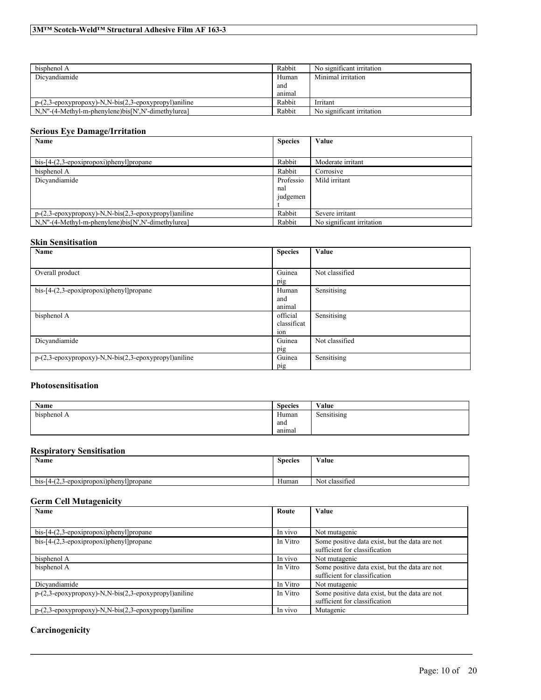| bisphenol A                                                                           | Rabbit | No significant irritation |
|---------------------------------------------------------------------------------------|--------|---------------------------|
| Dicvandiamide                                                                         | Human  | Minimal irritation        |
|                                                                                       | and    |                           |
|                                                                                       | animal |                           |
| $p-(2,3-\epsilon p\alpha x\gamma p\gamma p\alpha y)$ -N,N-bis(2,3-epoxypropyl)aniline | Rabbit | Irritant                  |
| $N.N''-(4-Methyl-m-phenylene)$ bis $[N',N'-dimentv lurea]$                            | Rabbit | No significant irritation |

## **Serious Eye Damage/Irritation**

| Name                                                                                                                     | <b>Species</b> | Value                     |
|--------------------------------------------------------------------------------------------------------------------------|----------------|---------------------------|
|                                                                                                                          |                |                           |
| $bis-[4-(2,3-epoxi)propan]$ ]propane                                                                                     | Rabbit         | Moderate irritant         |
| bisphenol A                                                                                                              | Rabbit         | Corrosive                 |
| Dicvandiamide                                                                                                            | Professio      | Mild irritant             |
|                                                                                                                          | nal            |                           |
|                                                                                                                          | judgemen       |                           |
|                                                                                                                          |                |                           |
| $p-(2,3-\epsilon p\alpha x\gamma p\alpha p\alpha y)$ -N,N-bis $(2,3-\epsilon p\alpha x\gamma p\alpha p\gamma p)$ aniline | Rabbit         | Severe irritant           |
| N,N"-(4-Methyl-m-phenylene)bis[N',N'-dimethylurea]                                                                       | Rabbit         | No significant irritation |

## **Skin Sensitisation**

| Name                                                 | <b>Species</b> | Value          |
|------------------------------------------------------|----------------|----------------|
|                                                      |                |                |
| Overall product                                      | Guinea         | Not classified |
|                                                      | pig            |                |
| $bis-[4-(2,3-epoxi)propoxi)phenyl]propane$           | Human          | Sensitising    |
|                                                      | and            |                |
|                                                      | animal         |                |
| bisphenol A                                          | official       | Sensitising    |
|                                                      | classificat    |                |
|                                                      | ion            |                |
| Dicyandiamide                                        | Guinea         | Not classified |
|                                                      | pig            |                |
| p-(2,3-epoxypropoxy)-N,N-bis(2,3-epoxypropyl)aniline | Guinea         | Sensitising    |
|                                                      | pig            |                |

## **Photosensitisation**

| Name               | <b>Species</b> | Value       |
|--------------------|----------------|-------------|
| . .<br>bisphenol A | Human          | Sensitising |
|                    | and            |             |
|                    | anımal         |             |

### **Respiratory Sensitisation**

| Name                                            | <b>Species</b> | Value<br>.     |
|-------------------------------------------------|----------------|----------------|
| .3-epoxipropoxi)phenyl propane<br>bis-<br>ر . ے | Human          | Not classified |

## **Germ Cell Mutagenicity**

| Name                                                                                        | Route    | Value                                                                           |
|---------------------------------------------------------------------------------------------|----------|---------------------------------------------------------------------------------|
|                                                                                             |          |                                                                                 |
| $bis$ -[4- $(2,3$ -epoxipropoxi)phenyl]propane                                              | In vivo  | Not mutagenic                                                                   |
| $bis-[4-(2,3-epoxi)propoxi)phenyl]propane$                                                  | In Vitro | Some positive data exist, but the data are not<br>sufficient for classification |
| bisphenol A                                                                                 | In vivo  | Not mutagenic                                                                   |
| bisphenol A                                                                                 | In Vitro | Some positive data exist, but the data are not<br>sufficient for classification |
| Dicvandiamide                                                                               | In Vitro | Not mutagenic                                                                   |
| $p-(2,3-\epsilon p\alpha x\gamma p\gamma p\alpha x\gamma)$ -N,N-bis(2,3-epoxypropyl)aniline | In Vitro | Some positive data exist, but the data are not<br>sufficient for classification |
| p-(2,3-epoxypropoxy)-N,N-bis(2,3-epoxypropyl)aniline                                        | In vivo  | Mutagenic                                                                       |

 $\mathcal{L}_\mathcal{L} = \mathcal{L}_\mathcal{L} = \mathcal{L}_\mathcal{L} = \mathcal{L}_\mathcal{L} = \mathcal{L}_\mathcal{L} = \mathcal{L}_\mathcal{L} = \mathcal{L}_\mathcal{L} = \mathcal{L}_\mathcal{L} = \mathcal{L}_\mathcal{L} = \mathcal{L}_\mathcal{L} = \mathcal{L}_\mathcal{L} = \mathcal{L}_\mathcal{L} = \mathcal{L}_\mathcal{L} = \mathcal{L}_\mathcal{L} = \mathcal{L}_\mathcal{L} = \mathcal{L}_\mathcal{L} = \mathcal{L}_\mathcal{L}$ 

## **Carcinogenicity**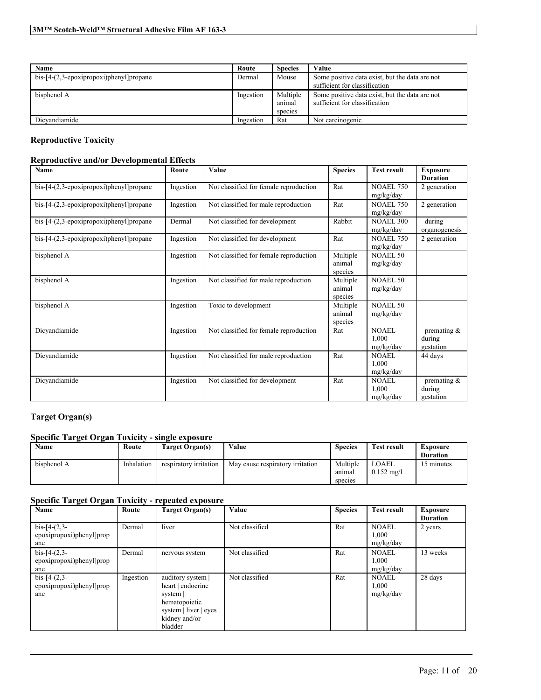| Name                                           | Route     | <b>Species</b>                | Value                                                                           |
|------------------------------------------------|-----------|-------------------------------|---------------------------------------------------------------------------------|
| $bis$ -[4- $(2,3$ -epoxipropoxi)phenyl]propane | Dermal    | Mouse                         | Some positive data exist, but the data are not<br>sufficient for classification |
| bisphenol A                                    | Ingestion | Multiple<br>anımal<br>species | Some positive data exist, but the data are not<br>sufficient for classification |
| Dicvandiamide                                  | Ingestion | Rat                           | Not carcinogenic                                                                |

## **Reproductive Toxicity**

## **Reproductive and/or Developmental Effects**

| Name                                           | Route     | Value                                  | <b>Species</b>                | <b>Test result</b>                 | <b>Exposure</b><br><b>Duration</b>    |
|------------------------------------------------|-----------|----------------------------------------|-------------------------------|------------------------------------|---------------------------------------|
| bis-[4-(2,3-epoxipropoxi)phenyl]propane        | Ingestion | Not classified for female reproduction | Rat                           | <b>NOAEL 750</b><br>mg/kg/day      | 2 generation                          |
| $bis$ -[4- $(2,3$ -epoxipropoxi)phenyl]propane | Ingestion | Not classified for male reproduction   | Rat                           | <b>NOAEL 750</b><br>mg/kg/day      | 2 generation                          |
| $bis$ -[4- $(2,3$ -epoxipropoxi)phenyl]propane | Dermal    | Not classified for development         | Rabbit                        | <b>NOAEL 300</b><br>mg/kg/day      | during<br>organogenesis               |
| $bis$ -[4- $(2,3$ -epoxipropoxi)phenyl]propane | Ingestion | Not classified for development         | Rat                           | <b>NOAEL 750</b><br>mg/kg/day      | 2 generation                          |
| bisphenol A                                    | Ingestion | Not classified for female reproduction | Multiple<br>animal<br>species | <b>NOAEL 50</b><br>mg/kg/day       |                                       |
| bisphenol A                                    | Ingestion | Not classified for male reproduction   | Multiple<br>animal<br>species | NOAEL 50<br>mg/kg/day              |                                       |
| bisphenol A                                    | Ingestion | Toxic to development                   | Multiple<br>animal<br>species | <b>NOAEL 50</b><br>mg/kg/day       |                                       |
| Dicyandiamide                                  | Ingestion | Not classified for female reproduction | Rat                           | <b>NOAEL</b><br>1.000<br>mg/kg/day | premating $\&$<br>during<br>gestation |
| Dicvandiamide                                  | Ingestion | Not classified for male reproduction   | Rat                           | NOAEL<br>1,000<br>mg/kg/day        | 44 days                               |
| Dicvandiamide                                  | Ingestion | Not classified for development         | Rat                           | <b>NOAEL</b><br>1,000<br>mg/kg/day | premating $\&$<br>during<br>gestation |

## **Target Organ(s)**

## **Specific Target Organ Toxicity - single exposure**

| Name        | Route      | Farget Organ(s)        | Value                            | <b>Species</b> | Test result          | Exposure<br><b>Duration</b> |
|-------------|------------|------------------------|----------------------------------|----------------|----------------------|-----------------------------|
|             |            |                        |                                  |                |                      |                             |
| bisphenol A | Inhalation | respiratory irritation | May cause respiratory irritation | Multiple       | LOAEL                | 15 minutes                  |
|             |            |                        |                                  | anımal         | $0.152 \text{ mg/l}$ |                             |
|             |            |                        |                                  | species        |                      |                             |

## **Specific Target Organ Toxicity - repeated exposure**

| Name                                              | Route     | <b>Target Organ(s)</b>                                                                                                     | Value          | <b>Species</b> | <b>Test result</b>                 | <b>Exposure</b><br><b>Duration</b> |
|---------------------------------------------------|-----------|----------------------------------------------------------------------------------------------------------------------------|----------------|----------------|------------------------------------|------------------------------------|
| $bis-[4-(2,3-$<br>epoxipropoxi)phenyl]prop<br>ane | Dermal    | liver                                                                                                                      | Not classified | Rat            | <b>NOAEL</b><br>1,000<br>mg/kg/day | 2 years                            |
| $bis-[4-(2,3-$<br>epoxipropoxi)phenyl]prop<br>ane | Dermal    | nervous system                                                                                                             | Not classified | Rat            | <b>NOAEL</b><br>1,000<br>mg/kg/day | 13 weeks                           |
| $bis-[4-(2,3-$<br>epoxipropoxi)phenyl]prop<br>ane | Ingestion | auditory system  <br>heart   endocrine<br>system  <br>hematopoietic<br>system   liver   eyes  <br>kidney and/or<br>bladder | Not classified | Rat            | <b>NOAEL</b><br>1,000<br>mg/kg/day | 28 days                            |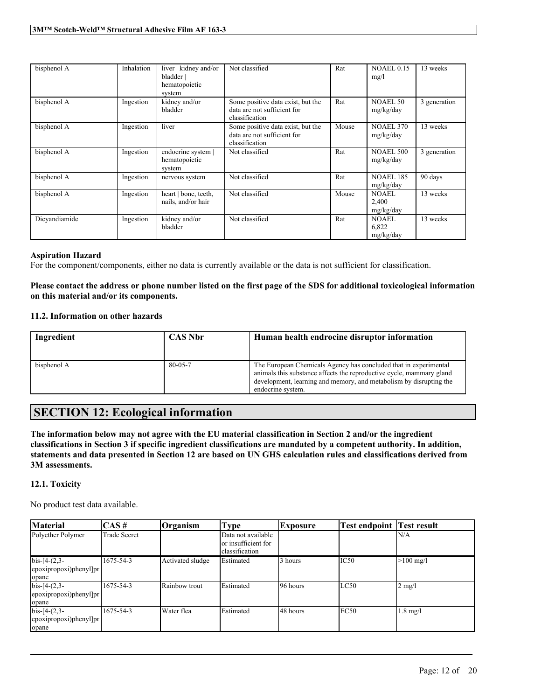| bisphenol A   | Inhalation | liver   kidney and/or<br>bladder  <br>hematopoietic<br>system | Not classified                                                                     | Rat   | <b>NOAEL 0.15</b><br>mg/l          | 13 weeks     |
|---------------|------------|---------------------------------------------------------------|------------------------------------------------------------------------------------|-------|------------------------------------|--------------|
| bisphenol A   | Ingestion  | kidney and/or<br>bladder                                      | Some positive data exist, but the<br>data are not sufficient for<br>classification | Rat   | <b>NOAEL 50</b><br>mg/kg/day       | 3 generation |
| bisphenol A   | Ingestion  | liver                                                         | Some positive data exist, but the<br>data are not sufficient for<br>classification | Mouse | <b>NOAEL 370</b><br>mg/kg/day      | 13 weeks     |
| bisphenol A   | Ingestion  | endocrine system  <br>hematopoietic<br>system                 | Not classified                                                                     | Rat   | <b>NOAEL 500</b><br>mg/kg/day      | 3 generation |
| bisphenol A   | Ingestion  | nervous system                                                | Not classified                                                                     | Rat   | <b>NOAEL 185</b><br>mg/kg/day      | 90 days      |
| bisphenol A   | Ingestion  | heart   bone, teeth,<br>nails, and/or hair                    | Not classified                                                                     | Mouse | NOAEL<br>2,400<br>mg/kg/day        | 13 weeks     |
| Dicvandiamide | Ingestion  | kidney and/or<br>bladder                                      | Not classified                                                                     | Rat   | <b>NOAEL</b><br>6,822<br>mg/kg/day | 13 weeks     |

## **Aspiration Hazard**

For the component/components, either no data is currently available or the data is not sufficient for classification.

## Please contact the address or phone number listed on the first page of the SDS for additional toxicological information **on this material and/or its components.**

## **11.2. Information on other hazards**

| Ingredient  | <b>CAS Nbr</b> | Human health endrocine disruptor information                                                                                                                                                                                        |
|-------------|----------------|-------------------------------------------------------------------------------------------------------------------------------------------------------------------------------------------------------------------------------------|
| bisphenol A | $80 - 0.5 - 7$ | The European Chemicals Agency has concluded that in experimental<br>animals this substance affects the reproductive cycle, mammary gland<br>development, learning and memory, and metabolism by disrupting the<br>endocrine system. |

# **SECTION 12: Ecological information**

The information below may not agree with the EU material classification in Section 2 and/or the ingredient classifications in Section 3 if specific ingredient classifications are mandated by a competent authority. In addition, statements and data presented in Section 12 are based on UN GHS calculation rules and classifications derived from **3M assessments.**

## **12.1. Toxicity**

No product test data available.

| <b>Material</b>                                                 | CAS#         | Organism         | <b>Type</b>                                | <b>Exposure</b> | <b>Test endpoint Test result</b> |                     |
|-----------------------------------------------------------------|--------------|------------------|--------------------------------------------|-----------------|----------------------------------|---------------------|
| Polyether Polymer                                               | Trade Secret |                  | Data not available<br>lor insufficient for |                 |                                  | IN/A                |
|                                                                 |              |                  | classification                             |                 |                                  |                     |
| $bis-[4-(2,3-$<br>$ epoxipropoxi\rangle$ phenyl $ pr $<br>opane | 1675-54-3    | Activated sludge | Estimated                                  | 3 hours         | IC <sub>50</sub>                 | $>100 \text{ mg/l}$ |
| $bis-[4-(2,3-$<br>epoxipropoxi)phenyl]pr<br>opane               | 1675-54-3    | Rainbow trout    | Estimated                                  | 96 hours        | LC50                             | $2$ mg/l            |
| $bis-[4-(2,3-$<br>[epoxipropoxi)phenyl]pr<br>opane              | 1675-54-3    | Water flea       | Estimated                                  | 48 hours        | EC50                             | $1.8$ mg/l          |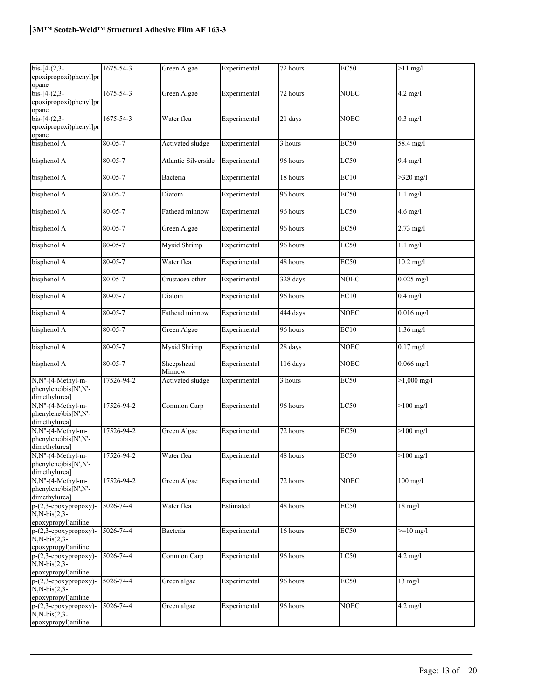| $bis-[4-(2,3-$<br>epoxipropoxi)phenyl]pr<br>opane                          | 1675-54-3       | Green Algae          | Experimental | 72 hours | <b>EC50</b>      | $>11$ mg/l          |
|----------------------------------------------------------------------------|-----------------|----------------------|--------------|----------|------------------|---------------------|
| $bis-[4-(2,3-$<br>epoxipropoxi)phenyl]pr<br>opane                          | $1675 - 54 - 3$ | Green Algae          | Experimental | 72 hours | <b>NOEC</b>      | $4.2$ mg/l          |
| $bis - [4-(2,3-$<br>epoxipropoxi)phenyl]pr<br>opane                        | 1675-54-3       | Water flea           | Experimental | 21 days  | <b>NOEC</b>      | $0.3$ mg/l          |
| bisphenol A                                                                | 80-05-7         | Activated sludge     | Experimental | 3 hours  | EC50             | 58.4 mg/l           |
| bisphenol A                                                                | 80-05-7         | Atlantic Silverside  | Experimental | 96 hours | LC50             | $9.4$ mg/l          |
| bisphenol A                                                                | $80 - 05 - 7$   | Bacteria             | Experimental | 18 hours | EC10             | $>320$ mg/l         |
| bisphenol A                                                                | $80 - 05 - 7$   | Diatom               | Experimental | 96 hours | EC50             | $1.1$ mg/l          |
| bisphenol A                                                                | 80-05-7         | Fathead minnow       | Experimental | 96 hours | LC50             | $4.6$ mg/l          |
| bisphenol A                                                                | 80-05-7         | Green Algae          | Experimental | 96 hours | EC50             | 2.73 mg/l           |
| bisphenol A                                                                | 80-05-7         | Mysid Shrimp         | Experimental | 96 hours | LC50             | $1.1$ mg/l          |
| bisphenol A                                                                | 80-05-7         | Water flea           | Experimental | 48 hours | EC50             | $10.2$ mg/l         |
| bisphenol A                                                                | $80 - 05 - 7$   | Crustacea other      | Experimental | 328 days | <b>NOEC</b>      | $0.025$ mg/l        |
| bisphenol A                                                                | 80-05-7         | Diatom               | Experimental | 96 hours | EC10             | $0.4$ mg/l          |
| bisphenol A                                                                | $80 - 05 - 7$   | Fathead minnow       | Experimental | 444 days | <b>NOEC</b>      | $0.016$ mg/l        |
| bisphenol A                                                                | $80 - 05 - 7$   | Green Algae          | Experimental | 96 hours | EC10             | $1.36$ mg/l         |
| bisphenol A                                                                | 80-05-7         | Mysid Shrimp         | Experimental | 28 days  | <b>NOEC</b>      | $0.17$ mg/l         |
| bisphenol A                                                                | $80 - 05 - 7$   | Sheepshead<br>Minnow | Experimental | 116 days | <b>NOEC</b>      | $0.066$ mg/l        |
| N,N"-(4-Methyl-m-<br>phenylene)bis[N',N'-<br>dimethylurea]                 | 17526-94-2      | Activated sludge     | Experimental | 3 hours  | <b>EC50</b>      | $>1,000$ mg/l       |
| N,N"-(4-Methyl-m-<br>phenylene)bis[N',N'-<br>dimethylurea]                 | 17526-94-2      | Common Carp          | Experimental | 96 hours | LC50             | $>100$ mg/l         |
| N,N"-(4-Methyl-m-<br>phenylene)bis[N',N'-<br>dimethylurea]                 | 17526-94-2      | Green Algae          | Experimental | 72 hours | <b>EC50</b>      | $>100$ mg/l         |
| N,N"-(4-Methyl-m-<br>phenylene)bis[N',N'-<br>dimethylurea]                 | 17526-94-2      | Water flea           | Experimental | 48 hours | <b>EC50</b>      | $>100 \text{ mg/l}$ |
| N,N"-(4-Methyl-m-<br>phenylene)bis[N',N'-<br>dimethylurea]                 | 17526-94-2      | Green Algae          | Experimental | 72 hours | <b>NOEC</b>      | $100$ mg/l          |
| $p-(2,3-epoxypropoxy)$ -<br>$N.N-bis(2,3-$<br>epoxypropyl)aniline          | 5026-74-4       | Water flea           | Estimated    | 48 hours | <b>EC50</b>      | $18$ mg/l           |
| $p-(2,3-\epsilon poxypropoxy)$ -<br>$N.N-bis(2,3-$<br>epoxypropyl)aniline  | 5026-74-4       | Bacteria             | Experimental | 16 hours | EC <sub>50</sub> | $>=10$ mg/l         |
| $p-(2,3-\epsilon poxypropoxy)$ -<br>$N, N-bis(2,3-$<br>epoxypropyl)aniline | 5026-74-4       | Common Carp          | Experimental | 96 hours | LC50             | $4.2$ mg/l          |
| $p-(2,3-epoxypropoxy)$ -<br>$N.N-bis(2,3-$<br>epoxypropyl)aniline          | 5026-74-4       | Green algae          | Experimental | 96 hours | <b>EC50</b>      | $13$ mg/l           |
| $p-(2,3-\epsilon poxypropoxy)$ -<br>$N.N-bis(2,3-$<br>epoxypropyl)aniline  | 5026-74-4       | Green algae          | Experimental | 96 hours | <b>NOEC</b>      | $4.2$ mg/l          |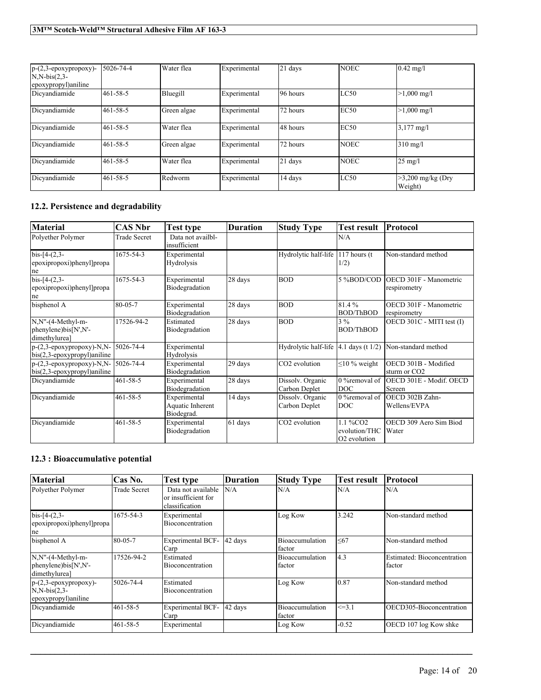| $p-(2,3-epoxypropoxy)$ -<br>$N.N-bis(2,3-$<br>epoxypropyl) aniline | 5026-74-4 | Water flea  | Experimental | 21 days  | <b>NOEC</b> | $0.42 \text{ mg}/l$            |
|--------------------------------------------------------------------|-----------|-------------|--------------|----------|-------------|--------------------------------|
| Dicvandiamide                                                      | 461-58-5  | Bluegill    | Experimental | 96 hours | LC50        | $>1,000 \text{ mg/l}$          |
| Dicvandiamide                                                      | 461-58-5  | Green algae | Experimental | 72 hours | EC50        | $>1,000 \text{ mg/l}$          |
| Dicvandiamide                                                      | 461-58-5  | Water flea  | Experimental | 48 hours | EC50        | $3.177 \text{ mg}$ /l          |
| Dicvandiamide                                                      | 461-58-5  | Green algae | Experimental | 72 hours | <b>NOEC</b> | $310$ mg/l                     |
| Dicvandiamide                                                      | 461-58-5  | Water flea  | Experimental | 21 days  | <b>NOEC</b> | $25 \text{ mg}$ /              |
| Dicvandiamide                                                      | 461-58-5  | Redworm     | Experimental | 14 days  | LC50        | $>3,200$ mg/kg (Dry<br>Weight) |

## **12.2. Persistence and degradability**

| <b>Material</b>                                                    | <b>CAS Nbr</b>      | Test type                                      | <b>Duration</b> | <b>Study Type</b>                    | <b>Test result</b>                                    | Protocol                                         |
|--------------------------------------------------------------------|---------------------|------------------------------------------------|-----------------|--------------------------------------|-------------------------------------------------------|--------------------------------------------------|
| Polyether Polymer                                                  | <b>Trade Secret</b> | Data not availbl-<br>insufficient              |                 |                                      | N/A                                                   |                                                  |
| $bis-[4-(2,3-$<br>epoxipropoxi)phenyl]propa<br>ne                  | 1675-54-3           | Experimental<br>Hydrolysis                     |                 | Hydrolytic half-life $ 117$ hours (t | 1/2)                                                  | Non-standard method                              |
| $bis-[4-(2,3-$<br>epoxipropoxi)phenyl]propa<br>ne                  | 1675-54-3           | Experimental<br>Biodegradation                 | 28 days         | <b>BOD</b>                           | 5%BOD/COD                                             | OECD 301F - Manometric<br>respirometry           |
| bisphenol A                                                        | 80-05-7             | Experimental<br>Biodegradation                 | 28 days         | <b>BOD</b>                           | 81.4%<br><b>BOD/ThBOD</b>                             | OECD 301F - Manometric<br>respirometry           |
| N,N"-(4-Methyl-m-<br>phenylene)bis[N',N'-<br>dimethylurea]         | 17526-94-2          | Estimated<br>Biodegradation                    | 28 days         | <b>BOD</b>                           | $3\%$<br><b>BOD/ThBOD</b>                             | OECD 301C - MITI test (I)                        |
| $p-(2,3-epoxypropoxy)-N,N-$<br>$bis(2,3-epoxypropyl)$ aniline      | 5026-74-4           | Experimental<br>Hydrolysis                     |                 | Hydrolytic half-life                 | $ 4.1$ days (t $1/2$ )                                | Non-standard method                              |
| $p-(2,3-\epsilon poxypropoxy)-N,N-$<br>bis(2,3-epoxypropyl)aniline | 5026-74-4           | Experimental<br>Biodegradation                 | 29 days         | CO2 evolution                        | $\leq$ 10 % weight                                    | OECD 301B - Modified<br>sturm or CO <sub>2</sub> |
| Dicyandiamide                                                      | $461 - 58 - 5$      | Experimental<br>Biodegradation                 | 28 days         | Dissolv. Organic<br>Carbon Deplet    | 0 %removal of<br>DOC <sup>1</sup>                     | OECD 301E - Modif. OECD<br>Screen                |
| Dicyandiamide                                                      | $461 - 58 - 5$      | Experimental<br>Aquatic Inherent<br>Biodegrad. | 14 days         | Dissolv. Organic<br>Carbon Deplet    | 0 % removal of<br>DOC                                 | OECD 302B Zahn-<br>Wellens/EVPA                  |
| Dicvandiamide                                                      | $461 - 58 - 5$      | Experimental<br>Biodegradation                 | 61 days         | CO2 evolution                        | 1.1 %CO2<br>evolution/THC<br>O <sub>2</sub> evolution | OECD 309 Aero Sim Biod<br>Water                  |

# **12.3 : Bioaccumulative potential**

| Material                                                                  | Cas No.             | <b>Test type</b>                                            | Duration | <b>Study Type</b>         | Test result  | Protocol                              |
|---------------------------------------------------------------------------|---------------------|-------------------------------------------------------------|----------|---------------------------|--------------|---------------------------------------|
| Polyether Polymer                                                         | <b>Trade Secret</b> | Data not available<br>or insufficient for<br>classification | N/A      | N/A                       | N/A          | N/A                                   |
| $bis-[4-(2,3-$<br>epoxipropoxi)phenyl]propa<br>ne                         | 1675-54-3           | Experimental<br>Bioconcentration                            |          | Log Kow                   | 3.242        | Non-standard method                   |
| bisphenol A                                                               | $80 - 05 - 7$       | <b>Experimental BCF-</b><br>Carp                            | 42 days  | Bioaccumulation<br>factor | $\leq 67$    | Non-standard method                   |
| N,N"-(4-Methyl-m-<br>$phenylene)$ bis $[N',N'-$<br>dimethylurea]          | 17526-94-2          | Estimated<br>Bioconcentration                               |          | Bioaccumulation<br>factor | 4.3          | Estimated: Bioconcentration<br>factor |
| $p-(2,3-\epsilon poxypropoxy)$ -<br>$N.N-bis(2,3-$<br>epoxypropyl)aniline | 5026-74-4           | Estimated<br>Bioconcentration                               |          | Log Kow                   | 10.87        | Non-standard method                   |
| Dicvandiamide                                                             | 461-58-5            | Experimental BCF-<br>Carp                                   | 42 days  | Bioaccumulation<br>factor | $\leq$ = 3.1 | OECD305-Bioconcentration              |
| Dicyandiamide                                                             | 461-58-5            | Experimental                                                |          | Log Kow                   | $-0.52$      | OECD 107 log Kow shke                 |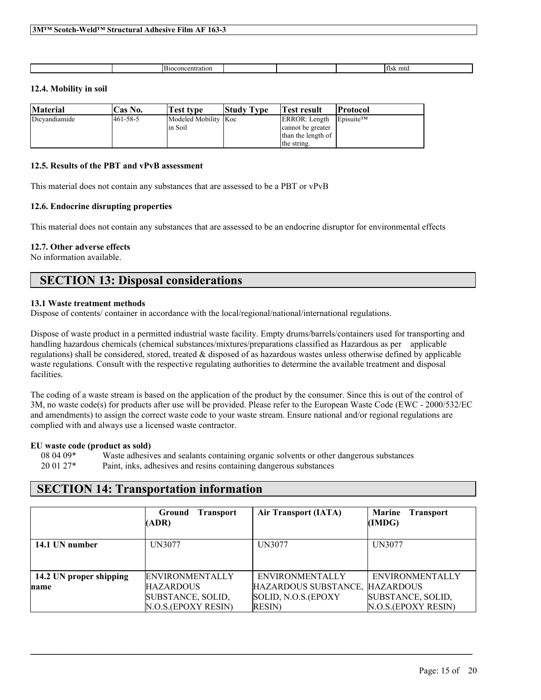| loconci<br><br>. .<br>. . |  | ʻfisk<br>mfd |
|---------------------------|--|--------------|

## **12.4. Mobility in soil**

| <b>Material</b> | Cas No.   | Test type                        | <b>Study Type</b> | Test result                                              | Protocol                           |
|-----------------|-----------|----------------------------------|-------------------|----------------------------------------------------------|------------------------------------|
| Dicvandiamide   | 1461-58-5 | Modeled Mobility Koc<br>lin Soil |                   | ERROR: Length<br>cannot be greater<br>than the length of | $\mathsf{E}$ Disuite <sup>TM</sup> |
|                 |           |                                  |                   | the string.                                              |                                    |

### **12.5. Results of the PBT and vPvB assessment**

This material does not contain any substances that are assessed to be a PBT or vPvB

## **12.6. Endocrine disrupting properties**

This material does not contain any substances that are assessed to be an endocrine disruptor for environmental effects

## **12.7. Other adverse effects**

No information available.

# **SECTION 13: Disposal considerations**

## **13.1 Waste treatment methods**

Dispose of contents/ container in accordance with the local/regional/national/international regulations.

Dispose of waste product in a permitted industrial waste facility. Empty drums/barrels/containers used for transporting and handling hazardous chemicals (chemical substances/mixtures/preparations classified as Hazardous as per applicable regulations) shall be considered, stored, treated & disposed of as hazardous wastes unless otherwise defined by applicable waste regulations. Consult with the respective regulating authorities to determine the available treatment and disposal **facilities** 

The coding of a waste stream is based on the application of the product by the consumer. Since this is out of the control of 3M, no waste code(s) for products after use will be provided. Please refer to the European Waste Code (EWC - 2000/532/EC and amendments) to assign the correct waste code to your waste stream. Ensure national and/or regional regulations are complied with and always use a licensed waste contractor.

#### **EU waste code (product as sold)**

08 04 09\* Waste adhesives and sealants containing organic solvents or other dangerous substances 20 01 27\* Paint, inks, adhesives and resins containing dangerous substances

# **SECTION 14: Transportation information**

|                         | Ground<br><b>Transport</b><br>(ADR) | <b>Air Transport (IATA)</b> | <b>Marine</b><br><b>Transport</b><br>(IMDG) |
|-------------------------|-------------------------------------|-----------------------------|---------------------------------------------|
| 14.1 UN number          | UN3077                              | UN3077                      | UN3077                                      |
| 14.2 UN proper shipping | <b>ENVIRONMENTALLY</b>              | <b>ENVIRONMENTALLY</b>      | <b>ENVIRONMENTALLY</b>                      |
| name                    | <b>HAZARDOUS</b>                    | HAZARDOUS SUBSTANCE,        | <b>HAZARDOUS</b>                            |
|                         | SUBSTANCE, SOLID,                   | SOLID, N.O.S.(EPOXY         | SUBSTANCE, SOLID,                           |
|                         | N.O.S.(EPOXY RESIN)                 | <b>RESIN</b> )              | N.O.S.(EPOXY RESIN)                         |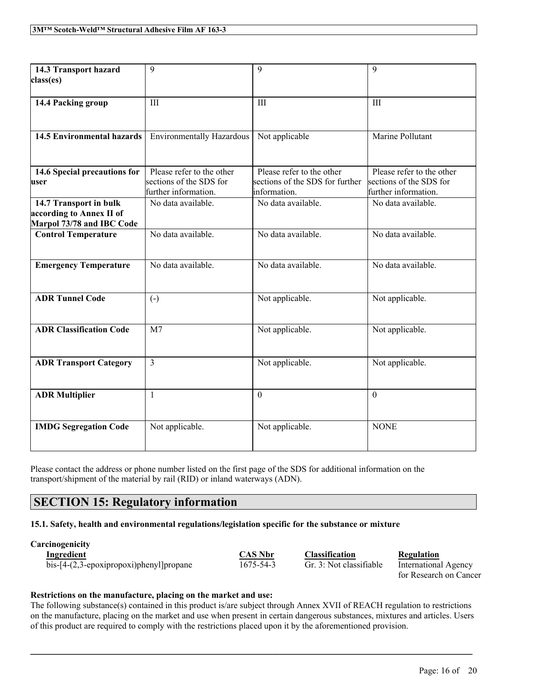| 14.3 Transport hazard             | 9                                | 9                               | 9                         |
|-----------------------------------|----------------------------------|---------------------------------|---------------------------|
| class(es)                         |                                  |                                 |                           |
|                                   |                                  |                                 |                           |
| 14.4 Packing group                | III                              | III                             | III                       |
|                                   |                                  |                                 |                           |
|                                   |                                  |                                 |                           |
|                                   |                                  |                                 |                           |
| <b>14.5 Environmental hazards</b> | <b>Environmentally Hazardous</b> | Not applicable                  | Marine Pollutant          |
|                                   |                                  |                                 |                           |
|                                   |                                  |                                 |                           |
| 14.6 Special precautions for      | Please refer to the other        | Please refer to the other       | Please refer to the other |
| user                              | sections of the SDS for          | sections of the SDS for further | sections of the SDS for   |
|                                   | further information.             | information.                    | further information.      |
| 14.7 Transport in bulk            | No data available.               | No data available.              | No data available.        |
| according to Annex II of          |                                  |                                 |                           |
| Marpol 73/78 and IBC Code         |                                  |                                 |                           |
| <b>Control Temperature</b>        | No data available.               | No data available.              | No data available.        |
|                                   |                                  |                                 |                           |
|                                   |                                  |                                 |                           |
| <b>Emergency Temperature</b>      | No data available.               | No data available.              | No data available.        |
|                                   |                                  |                                 |                           |
|                                   |                                  |                                 |                           |
| <b>ADR Tunnel Code</b>            | $\left( -\right)$                | Not applicable.                 | Not applicable.           |
|                                   |                                  |                                 |                           |
|                                   |                                  |                                 |                           |
| <b>ADR Classification Code</b>    | M <sub>7</sub>                   | Not applicable.                 | Not applicable.           |
|                                   |                                  |                                 |                           |
|                                   |                                  |                                 |                           |
| <b>ADR Transport Category</b>     | $\overline{3}$                   | Not applicable.                 | Not applicable.           |
|                                   |                                  |                                 |                           |
|                                   |                                  |                                 |                           |
|                                   |                                  | $\theta$                        | $\mathbf{0}$              |
| <b>ADR Multiplier</b>             | $\mathbf{1}$                     |                                 |                           |
|                                   |                                  |                                 |                           |
|                                   |                                  |                                 |                           |
| <b>IMDG Segregation Code</b>      | Not applicable.                  | Not applicable.                 | <b>NONE</b>               |
|                                   |                                  |                                 |                           |

Please contact the address or phone number listed on the first page of the SDS for additional information on the transport/shipment of the material by rail (RID) or inland waterways (ADN).

# **SECTION 15: Regulatory information**

## **15.1. Safety, health and environmental regulations/legislation specific for the substance or mixture**

**Carcinogenicity**

| Ingredient                              |  |
|-----------------------------------------|--|
| bis-[4-(2,3-epoxipropoxi)phenyl]propane |  |

**Industrial Classification Regulation** 

1675-54-3 Gr. 3: Not classifiable International Agency for Research on Cancer

## **Restrictions on the manufacture, placing on the market and use:**

The following substance(s) contained in this product is/are subject through Annex XVII of REACH regulation to restrictions on the manufacture, placing on the market and use when present in certain dangerous substances, mixtures and articles. Users of this product are required to comply with the restrictions placed upon it by the aforementioned provision.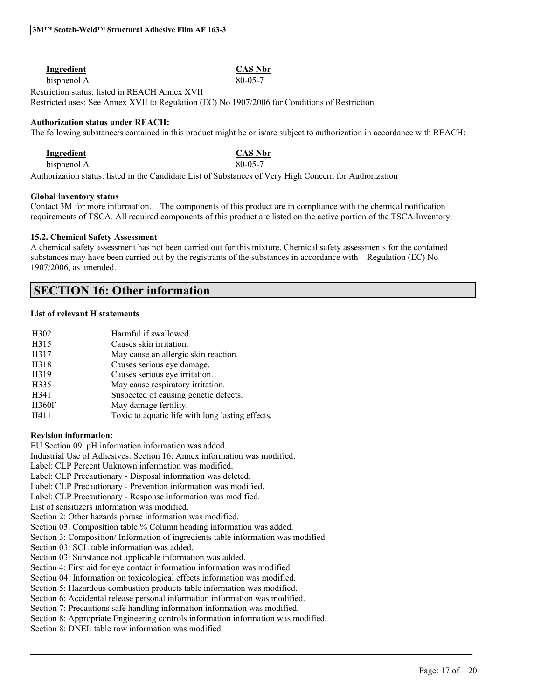| Ingredient                                                                                    | <b>CAS Nbr</b> |
|-----------------------------------------------------------------------------------------------|----------------|
| bisphenol A                                                                                   | 80-05-7        |
| Restriction status: listed in REACH Annex XVII                                                |                |
| Restricted uses: See Annex XVII to Regulation (EC) No 1907/2006 for Conditions of Restriction |                |

#### **Authorization status under REACH:**

The following substance/s contained in this product might be or is/are subject to authorization in accordance with REACH:

| <b>Ingredient</b> | <b>CAS Nbr</b> |
|-------------------|----------------|
| bisphenol A       | $80 - 05 - 7$  |

Authorization status: listed in the Candidate List of Substances of Very High Concern for Authorization

#### **Global inventory status**

Contact 3M for more information. The components of this product are in compliance with the chemical notification requirements of TSCA. All required components of this product are listed on the active portion of the TSCA Inventory.

#### **15.2. Chemical Safety Assessment**

A chemical safety assessment has not been carried out for this mixture. Chemical safety assessments for the contained substances may have been carried out by the registrants of the substances in accordance with Regulation (EC) No 1907/2006, as amended.

# **SECTION 16: Other information**

#### **List of relevant H statements**

| H <sub>3</sub> 02 | Harmful if swallowed.                            |
|-------------------|--------------------------------------------------|
| H315              | Causes skin irritation.                          |
| H317              | May cause an allergic skin reaction.             |
| H318              | Causes serious eye damage.                       |
| H319              | Causes serious eye irritation.                   |
| H335              | May cause respiratory irritation.                |
| H341              | Suspected of causing genetic defects.            |
| <b>H360F</b>      | May damage fertility.                            |
| H411              | Toxic to aquatic life with long lasting effects. |

#### **Revision information:**

EU Section 09: pH information information was added.

Industrial Use of Adhesives: Section 16: Annex information was modified.

Label: CLP Percent Unknown information was modified.

Label: CLP Precautionary - Disposal information was deleted.

Label: CLP Precautionary - Prevention information was modified.

Label: CLP Precautionary - Response information was modified.

List of sensitizers information was modified.

Section 2: Other hazards phrase information was modified.

Section 03: Composition table % Column heading information was added.

Section 3: Composition/ Information of ingredients table information was modified.

Section 03: SCL table information was added.

Section 03: Substance not applicable information was added.

Section 4: First aid for eye contact information information was modified.

Section 04: Information on toxicological effects information was modified.

Section 5: Hazardous combustion products table information was modified.

Section 6: Accidental release personal information information was modified.

Section 7: Precautions safe handling information information was modified.

Section 8: Appropriate Engineering controls information information was modified.

 $\mathcal{L}_\mathcal{L} = \mathcal{L}_\mathcal{L} = \mathcal{L}_\mathcal{L} = \mathcal{L}_\mathcal{L} = \mathcal{L}_\mathcal{L} = \mathcal{L}_\mathcal{L} = \mathcal{L}_\mathcal{L} = \mathcal{L}_\mathcal{L} = \mathcal{L}_\mathcal{L} = \mathcal{L}_\mathcal{L} = \mathcal{L}_\mathcal{L} = \mathcal{L}_\mathcal{L} = \mathcal{L}_\mathcal{L} = \mathcal{L}_\mathcal{L} = \mathcal{L}_\mathcal{L} = \mathcal{L}_\mathcal{L} = \mathcal{L}_\mathcal{L}$ 

Section 8: DNEL table row information was modified.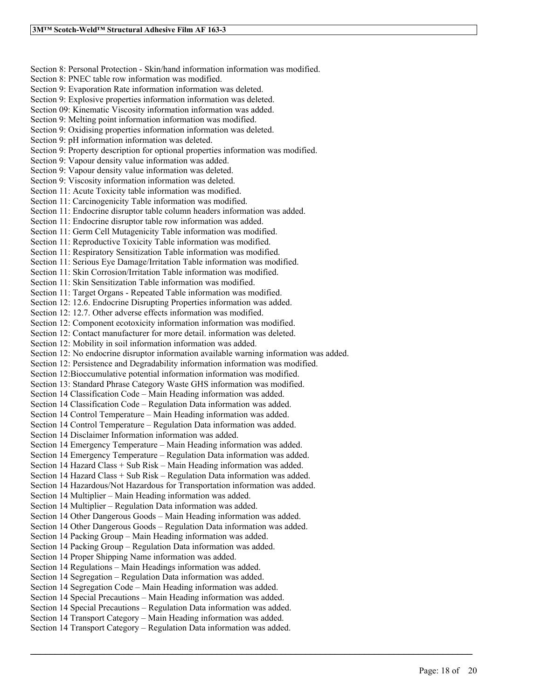Section 8: Personal Protection - Skin/hand information information was modified. Section 8: PNEC table row information was modified. Section 9: Evaporation Rate information information was deleted. Section 9: Explosive properties information information was deleted. Section 09: Kinematic Viscosity information information was added. Section 9: Melting point information information was modified. Section 9: Oxidising properties information information was deleted. Section 9: pH information information was deleted. Section 9: Property description for optional properties information was modified. Section 9: Vapour density value information was added. Section 9: Vapour density value information was deleted. Section 9: Viscosity information information was deleted. Section 11: Acute Toxicity table information was modified. Section 11: Carcinogenicity Table information was modified. Section 11: Endocrine disruptor table column headers information was added. Section 11: Endocrine disruptor table row information was added. Section 11: Germ Cell Mutagenicity Table information was modified. Section 11: Reproductive Toxicity Table information was modified. Section 11: Respiratory Sensitization Table information was modified. Section 11: Serious Eye Damage/Irritation Table information was modified. Section 11: Skin Corrosion/Irritation Table information was modified. Section 11: Skin Sensitization Table information was modified. Section 11: Target Organs - Repeated Table information was modified. Section 12: 12.6. Endocrine Disrupting Properties information was added. Section 12: 12.7. Other adverse effects information was modified. Section 12: Component ecotoxicity information information was modified. Section 12: Contact manufacturer for more detail. information was deleted. Section 12: Mobility in soil information information was added. Section 12: No endocrine disruptor information available warning information was added. Section 12: Persistence and Degradability information information was modified. Section 12:Bioccumulative potential information information was modified. Section 13: Standard Phrase Category Waste GHS information was modified. Section 14 Classification Code – Main Heading information was added. Section 14 Classification Code – Regulation Data information was added. Section 14 Control Temperature – Main Heading information was added. Section 14 Control Temperature – Regulation Data information was added. Section 14 Disclaimer Information information was added. Section 14 Emergency Temperature – Main Heading information was added. Section 14 Emergency Temperature – Regulation Data information was added. Section 14 Hazard Class + Sub Risk – Main Heading information was added. Section 14 Hazard Class + Sub Risk – Regulation Data information was added. Section 14 Hazardous/Not Hazardous for Transportation information was added. Section 14 Multiplier – Main Heading information was added. Section 14 Multiplier – Regulation Data information was added. Section 14 Other Dangerous Goods – Main Heading information was added. Section 14 Other Dangerous Goods – Regulation Data information was added. Section 14 Packing Group – Main Heading information was added. Section 14 Packing Group – Regulation Data information was added. Section 14 Proper Shipping Name information was added. Section 14 Regulations – Main Headings information was added. Section 14 Segregation – Regulation Data information was added. Section 14 Segregation Code – Main Heading information was added. Section 14 Special Precautions – Main Heading information was added. Section 14 Special Precautions – Regulation Data information was added. Section 14 Transport Category – Main Heading information was added. Section 14 Transport Category – Regulation Data information was added.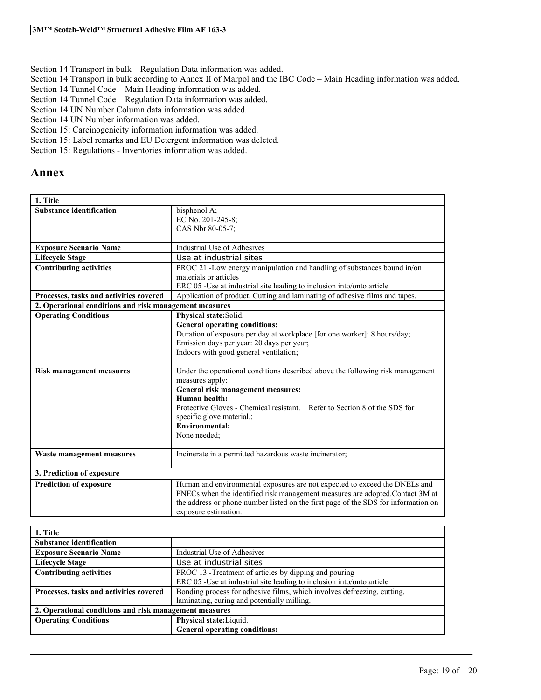Section 14 Transport in bulk – Regulation Data information was added.

- Section 14 Transport in bulk according to Annex II of Marpol and the IBC Code Main Heading information was added.
- Section 14 Tunnel Code Main Heading information was added.
- Section 14 Tunnel Code Regulation Data information was added.
- Section 14 UN Number Column data information was added.
- Section 14 UN Number information was added.
- Section 15: Carcinogenicity information information was added.
- Section 15: Label remarks and EU Detergent information was deleted.
- Section 15: Regulations Inventories information was added.

# **Annex**

| 1. Title                                               |                                                                                                   |
|--------------------------------------------------------|---------------------------------------------------------------------------------------------------|
| <b>Substance identification</b>                        | bisphenol A;<br>EC No. 201-245-8;                                                                 |
|                                                        | CAS Nbr 80-05-7;                                                                                  |
|                                                        |                                                                                                   |
| <b>Exposure Scenario Name</b>                          | Industrial Use of Adhesives                                                                       |
| <b>Lifecycle Stage</b>                                 | Use at industrial sites                                                                           |
| <b>Contributing activities</b>                         | PROC 21 -Low energy manipulation and handling of substances bound in/on                           |
|                                                        | materials or articles                                                                             |
|                                                        | ERC 05 - Use at industrial site leading to inclusion into/onto article                            |
| Processes, tasks and activities covered                | Application of product. Cutting and laminating of adhesive films and tapes.                       |
| 2. Operational conditions and risk management measures |                                                                                                   |
| <b>Operating Conditions</b>                            | Physical state:Solid.                                                                             |
|                                                        | <b>General operating conditions:</b>                                                              |
|                                                        | Duration of exposure per day at workplace [for one worker]: 8 hours/day;                          |
|                                                        | Emission days per year: 20 days per year;                                                         |
|                                                        | Indoors with good general ventilation;                                                            |
| <b>Risk management measures</b>                        | Under the operational conditions described above the following risk management<br>measures apply: |
|                                                        | General risk management measures:                                                                 |
|                                                        | Human health:                                                                                     |
|                                                        | Protective Gloves - Chemical resistant. Refer to Section 8 of the SDS for                         |
|                                                        | specific glove material.;                                                                         |
|                                                        | <b>Environmental:</b>                                                                             |
|                                                        | None needed;                                                                                      |
|                                                        |                                                                                                   |
| Waste management measures                              | Incinerate in a permitted hazardous waste incinerator;                                            |
| 3. Prediction of exposure                              |                                                                                                   |
| <b>Prediction of exposure</b>                          | Human and environmental exposures are not expected to exceed the DNELs and                        |
|                                                        | PNECs when the identified risk management measures are adopted.Contact 3M at                      |
|                                                        | the address or phone number listed on the first page of the SDS for information on                |
|                                                        | exposure estimation.                                                                              |

| 1. Title                                               |                                                                                                                                 |
|--------------------------------------------------------|---------------------------------------------------------------------------------------------------------------------------------|
| <b>Substance identification</b>                        |                                                                                                                                 |
| <b>Exposure Scenario Name</b>                          | Industrial Use of Adhesives                                                                                                     |
| <b>Lifecycle Stage</b>                                 | Use at industrial sites                                                                                                         |
| <b>Contributing activities</b>                         | PROC 13 - Treatment of articles by dipping and pouring<br>ERC 05 -Use at industrial site leading to inclusion into/onto article |
| Processes, tasks and activities covered                | Bonding process for adhesive films, which involves defreezing, cutting,<br>laminating, curing and potentially milling.          |
| 2. Operational conditions and risk management measures |                                                                                                                                 |
| <b>Operating Conditions</b>                            | Physical state: Liquid.                                                                                                         |
|                                                        | <b>General operating conditions:</b>                                                                                            |